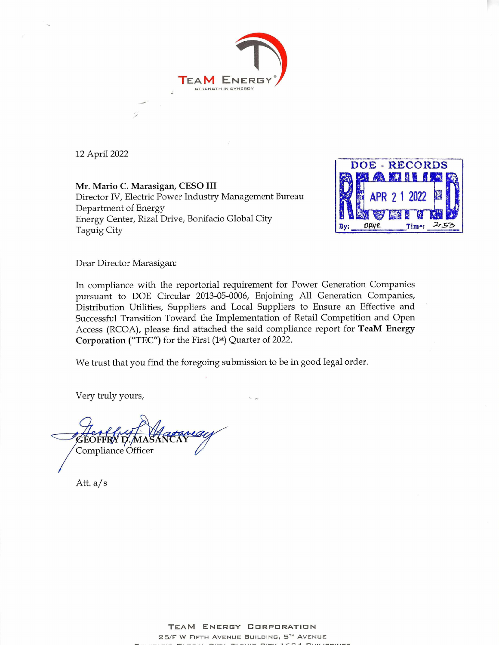

12 April 2022

Mr. Mario C. Marasigan, CESO III Director IV, Electric Power Industry Management Bureau Department of Energy Energy Center, Rizal Drive, Bonifacio Global City Taguig City



Dear Director Marasigan:

In compliance with the reportorial requirement for Power Generation Companies pursuant to DOE Circular 2013-05-0006, Enjoining All Generation Companies, Distribution Utilities, Suppliers and Local Suppliers to Ensure an Effective and Successful Transition Toward the Implementation of Retail Competition and Open Access (RCOA), please find attached the said compliance report for TeaM Energy Corporation ("TEC") for the First (1st) Quarter of 2022.

We trust that you find the foregoing submission to be in good legal order.

Very truly yours,

 $A^{\prime}$ Compliance Officer

Att. a/s